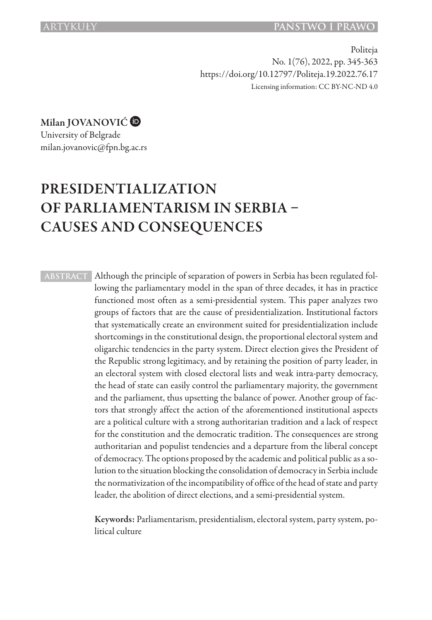Politeja No. 1(76), 2022, pp. 345-363 https://doi.org/10.12797/Politeja.19.2022.76.17 Licensing information: CC BY-NC-ND 4.0

Milan JOVANOVIĆ<sup>®</sup>

University of Belgrade milan.jovanovic@fpn.bg.ac.rs

# PRESIDENTIALIZATION OF PARLIAMENTARISM IN SERBIA – CAUSES AND CONSEQUENCES

**ABSTRACT** Although the principle of separation of powers in Serbia has been regulated following the parliamentary model in the span of three decades, it has in practice functioned most often as a semi-presidential system. This paper analyzes two groups of factors that are the cause of presidentialization. Institutional factors that systematically create an environment suited for presidentialization include shortcomings in the constitutional design, the proportional electoral system and oligarchic tendencies in the party system. Direct election gives the President of the Republic strong legitimacy, and by retaining the position of party leader, in an electoral system with closed electoral lists and weak intra-party democracy, the head of state can easily control the parliamentary majority, the government and the parliament, thus upsetting the balance of power. Another group of factors that strongly affect the action of the aforementioned institutional aspects are a political culture with a strong authoritarian tradition and a lack of respect for the constitution and the democratic tradition. The consequences are strong authoritarian and populist tendencies and a departure from the liberal concept of democracy. The options proposed by the academic and political public as a solution to the situation blocking the consolidation of democracy in Serbia include the normativization of the incompatibility of office of the head of state and party leader, the abolition of direct elections, and a semi-presidential system.

> Keywords: Parliamentarism, presidentialism, electoral system, party system, political culture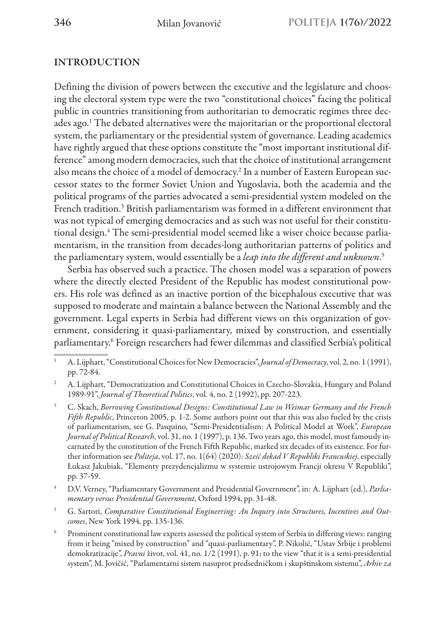## INTRODUCTION

Defining the division of powers between the executive and the legislature and choosing the electoral system type were the two "constitutional choices" facing the political public in countries transitioning from authoritarian to democratic regimes three decades ago.<sup>1</sup> The debated alternatives were the majoritarian or the proportional electoral system, the parliamentary or the presidential system of governance. Leading academics have rightly argued that these options constitute the "most important institutional difference" among modern democracies, such that the choice of institutional arrangement also means the choice of a model of democracy.<sup>2</sup> In a number of Eastern European successor states to the former Soviet Union and Yugoslavia, both the academia and the political programs of the parties advocated a semi-presidential system modeled on the French tradition.<sup>3</sup> British parliamentarism was formed in a different environment that was not typical of emerging democracies and as such was not useful for their constitutional design.<sup>4</sup> The semi-presidential model seemed like a wiser choice because parliamentarism, in the transition from decades-long authoritarian patterns of politics and the parliamentary system, would essentially be a *leap into the different and unknown*. 5

Serbia has observed such a practice. The chosen model was a separation of powers where the directly elected President of the Republic has modest constitutional powers. His role was defined as an inactive portion of the bicephalous executive that was supposed to moderate and maintain a balance between the National Assembly and the government. Legal experts in Serbia had different views on this organization of government, considering it quasi-parliamentary, mixed by construction, and essentially parliamentary.6 Foreign researchers had fewer dilemmas and classified Serbia's political

<sup>2</sup> A. Lijphart, "Democratization and Constitutional Choices in Czecho-Slovakia, Hungary and Poland 1989-91", *Journal of Theoretical Politics*, vol. 4, no. 2 (1992), pp. 207-223.

<sup>3</sup> C. Skach, *Borrowing Constitutional Designs: Constitutional Law in Weimar Germany and the French Fifth Republic*, Princeton 2005, p. 1-2. Some authors point out that this was also fueled by the crisis of parliamentarism, see G. Pasquino, "Semi-Presidentialism: A Political Model at Work", *European Journal of Political Research*, vol. 31, no. 1 (1997), p. 136. Two years ago, this model, most famously incarnated by the constitution of the French Fifth Republic, marked six decades of its existence. For further information see *Politeja*, vol. 17, no. 1(64) (2020): *Sześć dekad V Republiki Francuskiej*, especially Łukasz Jakubiak, "Elementy prezydencjalizmu w systemie ustrojowym Francji okresu V Republiki", pp. 37-59.

<sup>4</sup> D.V. Verney, "Parliamentary Government and Presidential Government", in: A. Lijphart (ed.), *Parliamentary versus Presidential Government*, Oxford 1994, pp. 31-48.

<sup>5</sup> G. Sartori, *Comparative Constitutional Engineering: An Inquiry into Structures, Incentives and Outcomes*, New York 1994, pp. 135-136.

<sup>6</sup> Prominent constitutional law experts assessed the political system of Serbia in differing views: ranging from it being "mixed by construction" and "quasi-parliamentary", P. Nikolić, "Ustav Srbije i problemi demokratizacije", *Pravni* život, vol. 41, no. 1/2 (1991), p. 91; to the view "that it is a semi-presidential system", M. Jovičić, "Parlamentarni sistem nasuprot predsedničkom i skupštinskom sistemu", *Arhiv za* 

<sup>1</sup> A. Lijphart, "Constitutional Choices for New Democracies", *Journal of Democracy*, vol. 2, no. 1 (1991), pp. 72-84.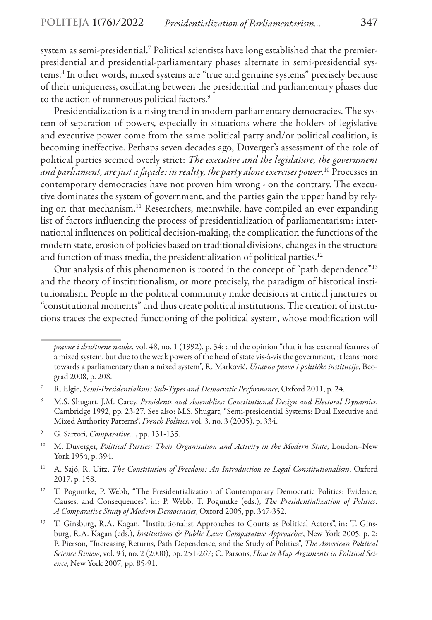system as semi-presidential.7 Political scientists have long established that the premierpresidential and presidential-parliamentary phases alternate in semi-presidential systems.8 In other words, mixed systems are "true and genuine systems" precisely because of their uniqueness, oscillating between the presidential and parliamentary phases due to the action of numerous political factors.<sup>9</sup>

Presidentialization is a rising trend in modern parliamentary democracies. The system of separation of powers, especially in situations where the holders of legislative and executive power come from the same political party and/or political coalition, is becoming ineffective. Perhaps seven decades ago, Duverger's assessment of the role of political parties seemed overly strict: *The executive and the legislature, the government and parliament, are just a façade: in reality, the party alone exercises power*. 10 Processes in contemporary democracies have not proven him wrong - on the contrary. The executive dominates the system of government, and the parties gain the upper hand by relying on that mechanism.<sup>11</sup> Researchers, meanwhile, have compiled an ever expanding list of factors influencing the process of presidentialization of parliamentarism: international influences on political decision-making, the complication the functions of the modern state, erosion of policies based on traditional divisions, changes in the structure and function of mass media, the presidentialization of political parties.<sup>12</sup>

Our analysis of this phenomenon is rooted in the concept of "path dependence"13 and the theory of institutionalism, or more precisely, the paradigm of historical institutionalism. People in the political community make decisions at critical junctures or "constitutional moments" and thus create political institutions. The creation of institutions traces the expected functioning of the political system, whose modification will

- <sup>9</sup> G. Sartori, *Comparative…*, pp. 131-135.
- <sup>10</sup> M. Duverger, *Political Parties: Their Organisation and Activity in the Modern State*, London–New York 1954, p. 394.
- <sup>11</sup> A. Sajó, R. Uitz, *The Constitution of Freedom: An Introduction to Legal Constitutionalism*, Oxford 2017, p. 158.
- <sup>12</sup> T. Poguntke, P. Webb, "The Presidentialization of Contemporary Democratic Politics: Evidence, Causes, and Consequences", in: P. Webb, T. Poguntke (eds.), *The Presidentialization of Politics: A Comparative Study of Modern Democracies*, Oxford 2005, pp. 347-352.
- <sup>13</sup> T. Ginsburg, R.A. Kagan, "Institutionalist Approaches to Courts as Political Actors", in: T. Ginsburg, R.A. Kagan (eds.), *Institutions & Public Law: Comparative Approaches*, New York 2005, p. 2; P. Pierson, "Increasing Returns, Path Dependence, and the Study of Politics", *The American Political Science Riview*, vol. 94, no. 2 (2000), pp. 251-267; C. Parsons, *How to Map Arguments in Political Science*, New York 2007, pp. 85-91.

*pravne i društvene nauke*, vol. 48, no. 1 (1992), p. 34; and the opinion "that it has external features of a mixed system, but due to the weak powers of the head of state vis-à-vis the government, it leans more towards a parliamentary than a mixed system", R. Marković, *Ustavno pravo i političke institucije*, Beograd 2008, p. 208.

<sup>7</sup> R. Elgie, *Semi-Presidentialism: Sub-Types and Democratic Performance*, Oxford 2011, p. 24.

<sup>8</sup> M.S. Shugart, J.M. Carey, *Presidents and Assemblies: Constitutional Design and Electoral Dynamics*, Cambridge 1992, pp. 23-27. See also: M.S. Shugart, "Semi-presidential Systems: Dual Executive and Mixed Authority Patterns", *French Politics*, vol. 3, no. 3 (2005), p. 334.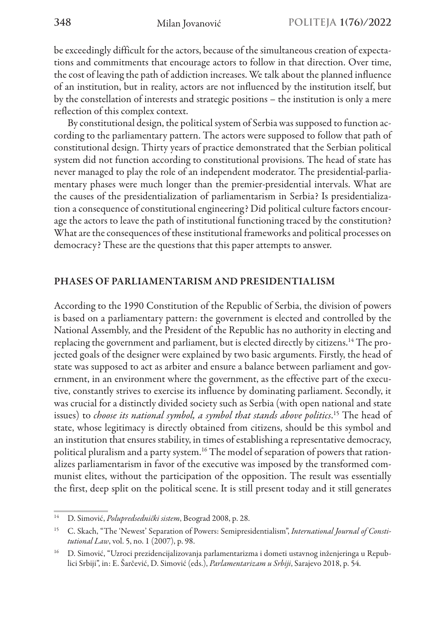be exceedingly difficult for the actors, because of the simultaneous creation of expectations and commitments that encourage actors to follow in that direction. Over time, the cost of leaving the path of addiction increases. We talk about the planned influence of an institution, but in reality, actors are not influenced by the institution itself, but by the constellation of interests and strategic positions – the institution is only a mere reflection of this complex context.

By constitutional design, the political system of Serbia was supposed to function according to the parliamentary pattern. The actors were supposed to follow that path of constitutional design. Thirty years of practice demonstrated that the Serbian political system did not function according to constitutional provisions. The head of state has never managed to play the role of an independent moderator. The presidential-parliamentary phases were much longer than the premier-presidential intervals. What are the causes of the presidentialization of parliamentarism in Serbia? Is presidentialization a consequence of constitutional engineering? Did political culture factors encourage the actors to leave the path of institutional functioning traced by the constitution? What are the consequences of these institutional frameworks and political processes on democracy? These are the questions that this paper attempts to answer.

### PHASES OF PARLIAMENTARISM AND PRESIDENTIALISM

According to the 1990 Constitution of the Republic of Serbia, the division of powers is based on a parliamentary pattern: the government is elected and controlled by the National Assembly, and the President of the Republic has no authority in electing and replacing the government and parliament, but is elected directly by citizens.<sup>14</sup> The projected goals of the designer were explained by two basic arguments. Firstly, the head of state was supposed to act as arbiter and ensure a balance between parliament and government, in an environment where the government, as the effective part of the executive, constantly strives to exercise its influence by dominating parliament. Secondly, it was crucial for a distinctly divided society such as Serbia (with open national and state issues) to *choose its national symbol, a symbol that stands above politics*. 15 The head of state, whose legitimacy is directly obtained from citizens, should be this symbol and an institution that ensures stability, in times of establishing a representative democracy, political pluralism and a party system.<sup>16</sup> The model of separation of powers that rationalizes parliamentarism in favor of the executive was imposed by the transformed communist elites, without the participation of the opposition. The result was essentially the first, deep split on the political scene. It is still present today and it still generates

<sup>14</sup> D. Simović, *Polupredsednički sistem*, Beograd 2008, p. 28.

<sup>15</sup> C. Skach, "The 'Newest' Separation of Powers: Semipresidentialism", *International Journal of Constitutional Law*, vol. 5, no. 1 (2007), p. 98.

<sup>16</sup> D. Simović, "Uzroci prezidencijalizovanja parlamentarizma i dometi ustavnog inženjeringa u Republici Srbiji", in: E. Šarčević, D. Simović (eds.), *Parlamentarizam u Srbiji*, Sarajevo 2018, p. 54.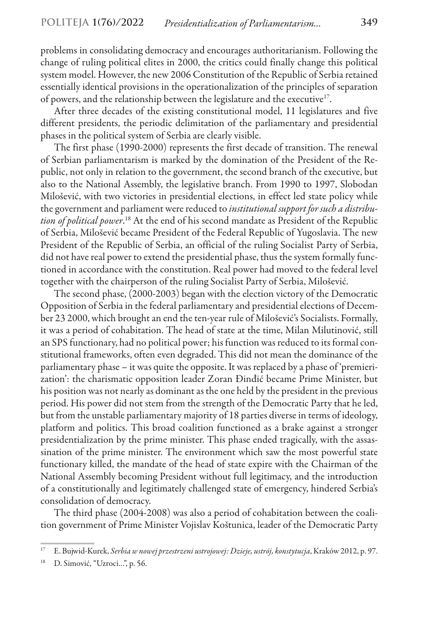problems in consolidating democracy and encourages authoritarianism. Following the change of ruling political elites in 2000, the critics could finally change this political system model. However, the new 2006 Constitution of the Republic of Serbia retained essentially identical provisions in the operationalization of the principles of separation of powers, and the relationship between the legislature and the executive<sup>17</sup>.

After three decades of the existing constitutional model, 11 legislatures and five different presidents, the periodic delimitation of the parliamentary and presidential phases in the political system of Serbia are clearly visible.

The first phase (1990-2000) represents the first decade of transition. The renewal of Serbian parliamentarism is marked by the domination of the President of the Republic, not only in relation to the government, the second branch of the executive, but also to the National Assembly, the legislative branch. From 1990 to 1997, Slobodan Milošević, with two victories in presidential elections, in effect led state policy while the government and parliament were reduced to *institutional support for such a distribution of political power*. 18 At the end of his second mandate as President of the Republic of Serbia, Milošević became President of the Federal Republic of Yugoslavia. The new President of the Republic of Serbia, an official of the ruling Socialist Party of Serbia, did not have real power to extend the presidential phase, thus the system formally functioned in accordance with the constitution. Real power had moved to the federal level together with the chairperson of the ruling Socialist Party of Serbia, Milošević.

The second phase, (2000-2003) began with the election victory of the Democratic Opposition of Serbia in the federal parliamentary and presidential elections of December 23 2000, which brought an end the ten-year rule of Milošević's Socialists. Formally, it was a period of cohabitation. The head of state at the time, Milan Milutinović, still an SPS functionary, had no political power; his function was reduced to its formal constitutional frameworks, often even degraded. This did not mean the dominance of the parliamentary phase – it was quite the opposite. It was replaced by a phase of 'premierization': the charismatic opposition leader Zoran Đinđić became Prime Minister, but his position was not nearly as dominant as the one held by the president in the previous period. His power did not stem from the strength of the Democratic Party that he led, but from the unstable parliamentary majority of 18 parties diverse in terms of ideology, platform and politics. This broad coalition functioned as a brake against a stronger presidentialization by the prime minister. This phase ended tragically, with the assassination of the prime minister. The environment which saw the most powerful state functionary killed, the mandate of the head of state expire with the Chairman of the National Assembly becoming President without full legitimacy, and the introduction of a constitutionally and legitimately challenged state of emergency, hindered Serbia's consolidation of democracy.

The third phase (2004-2008) was also a period of cohabitation between the coalition government of Prime Minister Vojislav Koštunica, leader of the Democratic Party

<sup>17</sup> E. Bujwid-Kurek, *Serbia w nowej przestrzeni ustrojowej: Dzieje, ustrój, konstytucja*, Kraków 2012, p. 97.

<sup>18</sup> D. Simović, "Uzroci…", p. 56.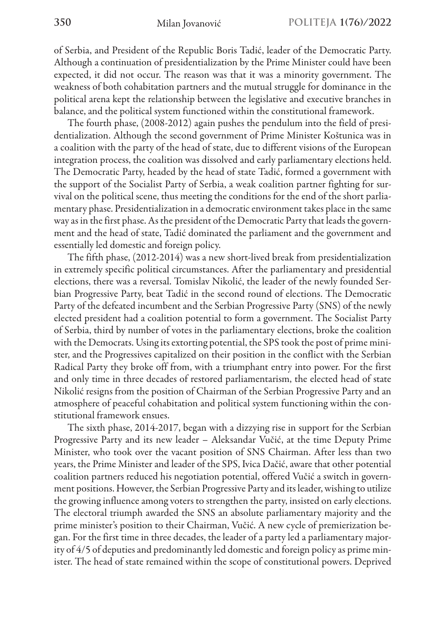of Serbia, and President of the Republic Boris Tadić, leader of the Democratic Party. Although a continuation of presidentialization by the Prime Minister could have been expected, it did not occur. The reason was that it was a minority government. The weakness of both cohabitation partners and the mutual struggle for dominance in the political arena kept the relationship between the legislative and executive branches in balance, and the political system functioned within the constitutional framework.

The fourth phase, (2008-2012) again pushes the pendulum into the field of presidentialization. Although the second government of Prime Minister Koštunica was in a coalition with the party of the head of state, due to different visions of the European integration process, the coalition was dissolved and early parliamentary elections held. The Democratic Party, headed by the head of state Tadić, formed a government with the support of the Socialist Party of Serbia, a weak coalition partner fighting for survival on the political scene, thus meeting the conditions for the end of the short parliamentary phase. Presidentialization in a democratic environment takes place in the same way as in the first phase. As the president of the Democratic Party that leads the government and the head of state, Tadić dominated the parliament and the government and essentially led domestic and foreign policy.

The fifth phase, (2012-2014) was a new short-lived break from presidentialization in extremely specific political circumstances. After the parliamentary and presidential elections, there was a reversal. Tomislav Nikolić, the leader of the newly founded Serbian Progressive Party, beat Tadić in the second round of elections. The Democratic Party of the defeated incumbent and the Serbian Progressive Party (SNS) of the newly elected president had a coalition potential to form a government. The Socialist Party of Serbia, third by number of votes in the parliamentary elections, broke the coalition with the Democrats. Using its extorting potential, the SPS took the post of prime minister, and the Progressives capitalized on their position in the conflict with the Serbian Radical Party they broke off from, with a triumphant entry into power. For the first and only time in three decades of restored parliamentarism, the elected head of state Nikolić resigns from the position of Chairman of the Serbian Progressive Party and an atmosphere of peaceful cohabitation and political system functioning within the constitutional framework ensues.

The sixth phase, 2014-2017, began with a dizzying rise in support for the Serbian Progressive Party and its new leader – Aleksandar Vučić, at the time Deputy Prime Minister, who took over the vacant position of SNS Chairman. After less than two years, the Prime Minister and leader of the SPS, Ivica Dačić, aware that other potential coalition partners reduced his negotiation potential, offered Vučić a switch in government positions. However, the Serbian Progressive Party and its leader, wishing to utilize the growing influence among voters to strengthen the party, insisted on early elections. The electoral triumph awarded the SNS an absolute parliamentary majority and the prime minister's position to their Chairman, Vučić. A new cycle of premierization began. For the first time in three decades, the leader of a party led a parliamentary majority of 4/5 of deputies and predominantly led domestic and foreign policy as prime minister. The head of state remained within the scope of constitutional powers. Deprived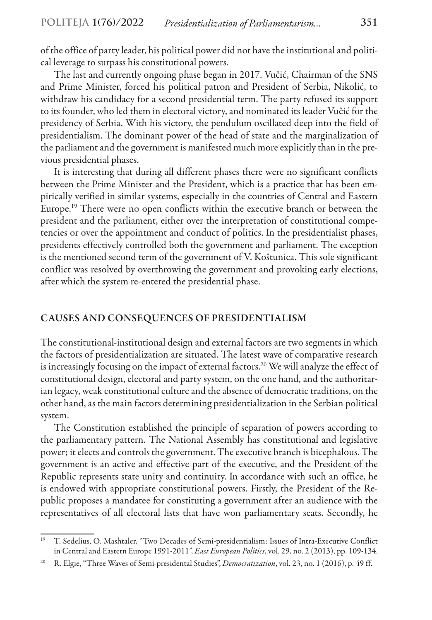of the office of party leader, his political power did not have the institutional and political leverage to surpass his constitutional powers.

The last and currently ongoing phase began in 2017. Vučić, Chairman of the SNS and Prime Minister, forced his political patron and President of Serbia, Nikolić, to withdraw his candidacy for a second presidential term. The party refused its support to its founder, who led them in electoral victory, and nominated its leader Vučić for the presidency of Serbia. With his victory, the pendulum oscillated deep into the field of presidentialism. The dominant power of the head of state and the marginalization of the parliament and the government is manifested much more explicitly than in the previous presidential phases.

It is interesting that during all different phases there were no significant conflicts between the Prime Minister and the President, which is a practice that has been empirically verified in similar systems, especially in the countries of Central and Eastern Europe.19 There were no open conflicts within the executive branch or between the president and the parliament, either over the interpretation of constitutional competencies or over the appointment and conduct of politics. In the presidentialist phases, presidents effectively controlled both the government and parliament. The exception is the mentioned second term of the government of V. Koštunica. This sole significant conflict was resolved by overthrowing the government and provoking early elections, after which the system re-entered the presidential phase.

### CAUSES AND CONSEQUENCES OF PRESIDENTIALISM

The constitutional-institutional design and external factors are two segments in which the factors of presidentialization are situated. The latest wave of comparative research is increasingly focusing on the impact of external factors.<sup>20</sup> We will analyze the effect of constitutional design, electoral and party system, on the one hand, and the authoritarian legacy, weak constitutional culture and the absence of democratic traditions, on the other hand, as the main factors determining presidentialization in the Serbian political system.

The Constitution established the principle of separation of powers according to the parliamentary pattern. The National Assembly has constitutional and legislative power; it elects and controls the government. The executive branch is bicephalous. The government is an active and effective part of the executive, and the President of the Republic represents state unity and continuity. In accordance with such an office, he is endowed with appropriate constitutional powers. Firstly, the President of the Republic proposes a mandatee for constituting a government after an audience with the representatives of all electoral lists that have won parliamentary seats. Secondly, he

<sup>19</sup> T. Sedelius, O. Mashtaler, "Two Decades of Semi-presidentialism: Issues of Intra-Executive Conflict in Central and Eastern Europe 1991-2011", *East European Politics*, vol. 29, no. 2 (2013), pp. 109-134.

<sup>20</sup> R. Elgie, "Three Waves of Semi-presidental Studies", *Democratization*, vol. 23, no. 1 (2016), p. 49 ff.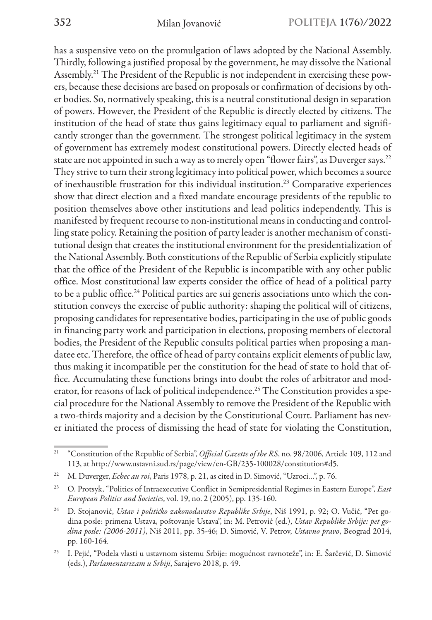has a suspensive veto on the promulgation of laws adopted by the National Assembly. Thirdly, following a justified proposal by the government, he may dissolve the National Assembly.21 The President of the Republic is not independent in exercising these powers, because these decisions are based on proposals or confirmation of decisions by other bodies. So, normatively speaking, this is a neutral constitutional design in separation of powers. However, the President of the Republic is directly elected by citizens. The institution of the head of state thus gains legitimacy equal to parliament and significantly stronger than the government. The strongest political legitimacy in the system of government has extremely modest constitutional powers. Directly elected heads of state are not appointed in such a way as to merely open "flower fairs", as Duverger says.<sup>22</sup> They strive to turn their strong legitimacy into political power, which becomes a source of inexhaustible frustration for this individual institution.23 Comparative experiences show that direct election and a fixed mandate encourage presidents of the republic to position themselves above other institutions and lead politics independently. This is manifested by frequent recourse to non-institutional means in conducting and controlling state policy. Retaining the position of party leader is another mechanism of constitutional design that creates the institutional environment for the presidentialization of the National Assembly. Both constitutions of the Republic of Serbia explicitly stipulate that the office of the President of the Republic is incompatible with any other public office. Most constitutional law experts consider the office of head of a political party to be a public office.<sup>24</sup> Political parties are sui generis associations unto which the constitution conveys the exercise of public authority: shaping the political will of citizens, proposing candidates for representative bodies, participating in the use of public goods in financing party work and participation in elections, proposing members of electoral bodies, the President of the Republic consults political parties when proposing a mandatee etc. Therefore, the office of head of party contains explicit elements of public law, thus making it incompatible per the constitution for the head of state to hold that office. Accumulating these functions brings into doubt the roles of arbitrator and moderator, for reasons of lack of political independence.<sup>25</sup> The Constitution provides a special procedure for the National Assembly to remove the President of the Republic with a two-thirds majority and a decision by the Constitutional Court. Parliament has never initiated the process of dismissing the head of state for violating the Constitution,

<sup>21</sup> "Constitution of the Republic of Serbia", *Official Gazette of the RS*, no. 98/2006, Article 109, 112 and 113, at http://www.ustavni.sud.rs/page/view/en-GB/235-100028/constitution#d5.

<sup>&</sup>lt;sup>22</sup> M. Duverger, *Echec au roi*, Paris 1978, p. 21, as cited in D. Simović, "Uzroci...", p. 76.

<sup>23</sup> O. Protsyk, "Politics of Intraexecutive Conflict in Semipresidential Regimes in Eastern Europe", *East European Politics and Societies*, vol. 19, no. 2 (2005), pp. 135-160.

<sup>24</sup> D. Stojanović, *Ustav i političko zakonodavstvo Republike Srbije*, Niš 1991, p. 92; O. Vučić, "Pet godina posle: primena Ustava, poštovanje Ustava", in: M. Petrović (ed.), *Ustav Republike Srbije: pet godina posle: (2006‒2011)*, Niš 2011, pp. 35-46; D. Simović, V. Petrov, *Ustavno pravo*, Beograd 2014, pp. 160-164.

<sup>&</sup>lt;sup>25</sup> I. Pejić, "Podela vlasti u ustavnom sistemu Srbije: mogućnost ravnoteže", in: E. Šarčević, D. Simović (eds.), *Parlamentarizam u Srbiji*, Sarajevo 2018, p. 49.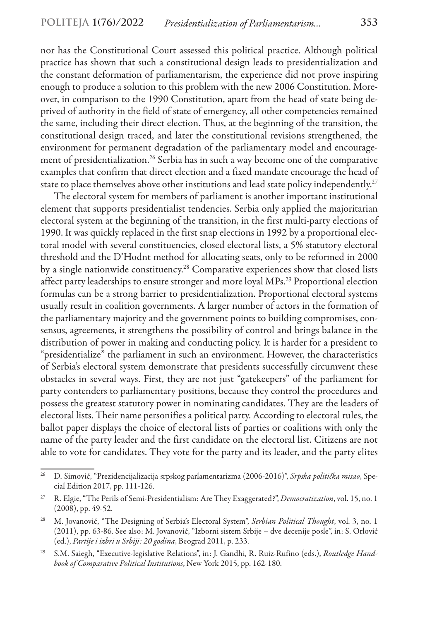nor has the Constitutional Court assessed this political practice. Although political practice has shown that such a constitutional design leads to presidentialization and the constant deformation of parliamentarism, the experience did not prove inspiring enough to produce a solution to this problem with the new 2006 Constitution. Moreover, in comparison to the 1990 Constitution, apart from the head of state being deprived of authority in the field of state of emergency, all other competencies remained the same, including their direct election. Thus, at the beginning of the transition, the constitutional design traced, and later the constitutional revisions strengthened, the environment for permanent degradation of the parliamentary model and encouragement of presidentialization.<sup>26</sup> Serbia has in such a way become one of the comparative examples that confirm that direct election and a fixed mandate encourage the head of state to place themselves above other institutions and lead state policy independently.<sup>27</sup>

The electoral system for members of parliament is another important institutional element that supports presidentialist tendencies. Serbia only applied the majoritarian electoral system at the beginning of the transition, in the first multi-party elections of 1990. It was quickly replaced in the first snap elections in 1992 by a proportional electoral model with several constituencies, closed electoral lists, a 5% statutory electoral threshold and the D'Hodnt method for allocating seats, only to be reformed in 2000 by a single nationwide constituency.28 Comparative experiences show that closed lists affect party leaderships to ensure stronger and more loyal MPs.29 Proportional election formulas can be a strong barrier to presidentialization. Proportional electoral systems usually result in coalition governments. A larger number of actors in the formation of the parliamentary majority and the government points to building compromises, consensus, agreements, it strengthens the possibility of control and brings balance in the distribution of power in making and conducting policy. It is harder for a president to "presidentialize" the parliament in such an environment. However, the characteristics of Serbia's electoral system demonstrate that presidents successfully circumvent these obstacles in several ways. First, they are not just "gatekeepers" of the parliament for party contenders to parliamentary positions, because they control the procedures and possess the greatest statutory power in nominating candidates. They are the leaders of electoral lists. Their name personifies a political party. According to electoral rules, the ballot paper displays the choice of electoral lists of parties or coalitions with only the name of the party leader and the first candidate on the electoral list. Citizens are not able to vote for candidates. They vote for the party and its leader, and the party elites

<sup>26</sup> D. Simović, "Prezidencijalizacija srpskog parlamentarizma (2006-2016)", *Srpska politička misao*, Special Edition 2017, pp. 111-126.

<sup>27</sup> R. Elgie, "The Perils of Semi-Presidentialism: Are They Exaggerated?", *Democratization*, vol. 15, no. 1 (2008), pp. 49-52.

<sup>28</sup> M. Jovanović, "The Designing of Serbia's Electoral System", *Serbian Political Thought*, vol. 3, no. 1 (2011), pp. 63-86. See also: M. Jovanović, "Izborni sistem Srbije – dve decenije posle", in: S. Orlović (ed.), *Partije i izbri u Srbiji: 20 godina*, Beograd 2011, p. 233.

<sup>29</sup> S.M. Saiegh, "Executive-legislative Relations", in: J. Gandhi, R. Ruiz-Rufino (eds.), *Routledge Handbook of Comparative Political Institutions*, New York 2015, pp. 162-180.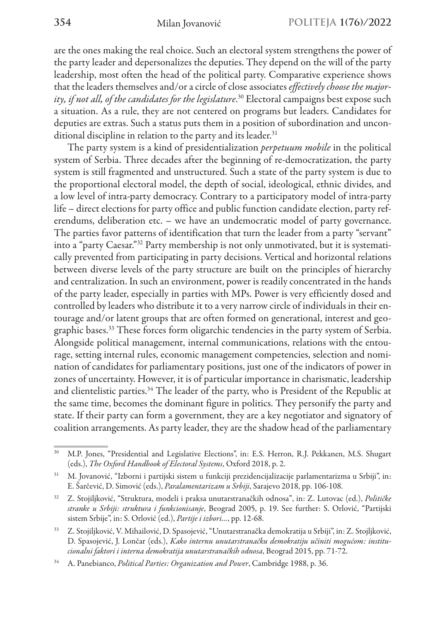are the ones making the real choice. Such an electoral system strengthens the power of the party leader and depersonalizes the deputies. They depend on the will of the party leadership, most often the head of the political party. Comparative experience shows that the leaders themselves and/or a circle of close associates *effectively choose the majority, if not all, of the candidates for the legislature*. 30 Electoral campaigns best expose such a situation. As a rule, they are not centered on programs but leaders. Candidates for deputies are extras. Such a status puts them in a position of subordination and unconditional discipline in relation to the party and its leader.<sup>31</sup>

The party system is a kind of presidentialization *perpetuum mobile* in the political system of Serbia. Three decades after the beginning of re-democratization, the party system is still fragmented and unstructured. Such a state of the party system is due to the proportional electoral model, the depth of social, ideological, ethnic divides, and a low level of intra-party democracy. Contrary to a participatory model of intra-party life – direct elections for party office and public function candidate election, party referendums, deliberation etc. – we have an undemocratic model of party governance. The parties favor patterns of identification that turn the leader from a party "servant" into a "party Caesar."32 Party membership is not only unmotivated, but it is systematically prevented from participating in party decisions. Vertical and horizontal relations between diverse levels of the party structure are built on the principles of hierarchy and centralization. In such an environment, power is readily concentrated in the hands of the party leader, especially in parties with MPs. Power is very efficiently dosed and controlled by leaders who distribute it to a very narrow circle of individuals in their entourage and/or latent groups that are often formed on generational, interest and geographic bases.33 These forces form oligarchic tendencies in the party system of Serbia. Alongside political management, internal communications, relations with the entourage, setting internal rules, economic management competencies, selection and nomination of candidates for parliamentary positions, just one of the indicators of power in zones of uncertainty. However, it is of particular importance in charismatic, leadership and clientelistic parties.34 The leader of the party, who is President of the Republic at the same time, becomes the dominant figure in politics. They personify the party and state. If their party can form a government, they are a key negotiator and signatory of coalition arrangements. As party leader, they are the shadow head of the parliamentary

<sup>&</sup>lt;sup>30</sup> M.P. Jones, "Presidential and Legislative Elections", in: E.S. Herron, R.J. Pekkanen, M.S. Shugart (eds.), *The Oxford Handbook of Electoral Systems*, Oxford 2018, p. 2.

<sup>31</sup> M. Jovanović, "Izborni i partijski sistem u funkciji prezidencijalizacije parlamentarizma u Srbiji", in: E. Šarčević, D. Simović (eds.), *Paralamentarizam u Srbiji*, Sarajevo 2018, pp. 106-108.

<sup>32</sup> Z. Stojiljković, "Struktura, modeli i praksa unutarstranačkih odnosa", in: Z. Lutovac (ed.), *Političke stranke u Srbiji: struktura i funkcionisanje*, Beograd 2005, p. 19. See further: S. Orlović, "Partijski sistem Srbije", in: S. Orlović (ed.), *Partije i izbori…*, pp. 12-68.

<sup>33</sup> Z. Stojiljković, V. Mihailović, D. Spasojević, "Unutarstranačka demokratija u Srbiji", in: Z. Stojljković, D. Spasojević, J. Lončar (eds.), *Kako internu unutarstranačku demokratiju učiniti mogućom: institucionalni faktori i interna demokratija unutarstranačkih odnosa*, Beograd 2015, pp. 71-72.

<sup>34</sup> А. Panebianco, *Political Parties: Organization and Power*, Cambridge 1988, p. 36.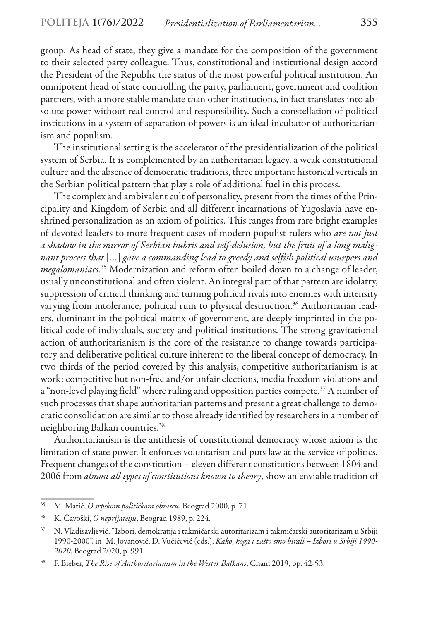group. As head of state, they give a mandate for the composition of the government to their selected party colleague. Thus, constitutional and institutional design accord the President of the Republic the status of the most powerful political institution. An omnipotent head of state controlling the party, parliament, government and coalition partners, with a more stable mandate than other institutions, in fact translates into absolute power without real control and responsibility. Such a constellation of political institutions in a system of separation of powers is an ideal incubator of authoritarianism and populism.

The institutional setting is the accelerator of the presidentialization of the political system of Serbia. It is complemented by an authoritarian legacy, a weak constitutional culture and the absence of democratic traditions, three important historical verticals in the Serbian political pattern that play a role of additional fuel in this process.

The complex and ambivalent cult of personality, present from the times of the Principality and Kingdom of Serbia and all different incarnations of Yugoslavia have enshrined personalization as an axiom of politics. This ranges from rare bright examples of devoted leaders to more frequent cases of modern populist rulers who *are not just a shadow in the mirror of Serbian hubris and self-delusion, but the fruit of a long malignant process that* […] *gave a commanding lead to greedy and selfish political usurpers and megalomaniacs*. 35 Modernization and reform often boiled down to a change of leader, usually unconstitutional and often violent. An integral part of that pattern are idolatry, suppression of critical thinking and turning political rivals into enemies with intensity varying from intolerance, political ruin to physical destruction.<sup>36</sup> Authoritarian leaders, dominant in the political matrix of government, are deeply imprinted in the political code of individuals, society and political institutions. The strong gravitational action of authoritarianism is the core of the resistance to change towards participatory and deliberative political culture inherent to the liberal concept of democracy. In two thirds of the period covered by this analysis, competitive authoritarianism is at work: competitive but non-free and/or unfair elections, media freedom violations and a "non-level playing field" where ruling and opposition parties compete.<sup>37</sup> A number of such processes that shape authoritarian patterns and present a great challenge to democratic consolidation are similar to those already identified by researchers in a number of neighboring Balkan countries.38

Authoritarianism is the antithesis of constitutional democracy whose axiom is the limitation of state power. It enforces voluntarism and puts law at the service of politics. Frequent changes of the constitution – eleven different constitutions between 1804 and 2006 from *almost all types of constitutions known to theory*, show an enviable tradition of

<sup>35</sup> M. Matić, *O srpskom političkom obrascu*, Beograd 2000, p. 71.

<sup>36</sup> K. Čavoški, *O neprijatelju*, Beograd 1989, p. 224.

<sup>37</sup> N. Vladisavljević, "Izbori, demokratija i takmičarski autoritarizam i takmičarski autoritarizam u Srbiji 1990-2000", in: M. Jovanović, D. Vučićević (eds.), *Kako, koga i zašto smo birali – Izbori u Srbiji 1990- 2020*, Beograd 2020, p. 991.

<sup>38</sup> F. Bieber, *The Rise of Authoritarianism in the Wester Balkans*, Cham 2019, pp. 42-53.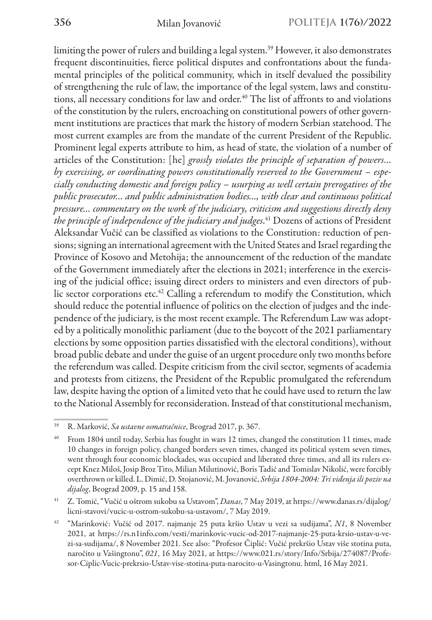limiting the power of rulers and building a legal system.39 However, it also demonstrates frequent discontinuities, fierce political disputes and confrontations about the fundamental principles of the political community, which in itself devalued the possibility of strengthening the rule of law, the importance of the legal system, laws and constitutions, all necessary conditions for law and order.<sup>40</sup> The list of affronts to and violations of the constitution by the rulers, encroaching on constitutional powers of other government institutions are practices that mark the history of modern Serbian statehood. The most current examples are from the mandate of the current President of the Republic. Prominent legal experts attribute to him, as head of state, the violation of a number of articles of the Constitution: [he] *grossly violates the principle of separation of powers*… *by exercising, or coordinating powers constitutionally reserved to the Government – especially conducting domestic and foreign policy – usurping as well certain prerogatives of the public prosecutor… and public administration bodies…, with clear and continuous political pressure… commentary on the work of the judiciary, criticism and suggestions directly deny the principle of independence of the judiciary and judges*. 41 Dozens of actions of President Aleksandar Vučić can be classified as violations to the Constitution: reduction of pensions; signing an international agreement with the United States and Israel regarding the Province of Kosovo and Metohija; the announcement of the reduction of the mandate of the Government immediately after the elections in 2021; interference in the exercising of the judicial office; issuing direct orders to ministers and even directors of public sector corporations etc.<sup>42</sup> Calling a referendum to modify the Constitution, which should reduce the potential influence of politics on the election of judges and the independence of the judiciary, is the most recent example. The Referendum Law was adopted by a politically monolithic parliament (due to the boycott of the 2021 parliamentary elections by some opposition parties dissatisfied with the electoral conditions), without broad public debate and under the guise of an urgent procedure only two months before the referendum was called. Despite criticism from the civil sector, segments of academia and protests from citizens, the President of the Republic promulgated the referendum law, despite having the option of a limited veto that he could have used to return the law to the National Assembly for reconsideration. Instead of that constitutional mechanism,

<sup>39</sup> R. Marković, *Sa ustavne osmatračnice*, Beograd 2017, p. 367.

<sup>40</sup> From 1804 until today, Serbia has fought in wars 12 times, changed the constitution 11 times, made 10 changes in foreign policy, changed borders seven times, changed its political system seven times, went through four economic blockades, was occupied and liberated three times, and all its rulers except Knez Miloš, Josip Broz Tito, Milian Milutinović, Boris Tadić and Tomislav Nikolić, were forcibly overthrown or killed. L. Dimić, D. Stojanović, M. Jovanović, *Srbija 1804-2004: Tri viđenja ili poziv na dijalog*, Beograd 2009, p. 15 and 158.

<sup>41</sup> Z. Tomić, "Vučić u oštrom sukobu sa Ustavom", *Danas*, 7 May 2019, at https://www.danas.rs/dijalog/ licni-stavovi/vucic-u-ostrom-sukobu-sa-ustavom/, 7 May 2019.

<sup>42</sup> "Marinković: Vučić od 2017. najmanje 25 puta kršio Ustav u vezi sa sudijama", *N1*, 8 November 2021, at https://rs.n1info.com/vesti/marinkovic-vucic-od-2017-najmanje-25-puta-krsio-ustav-u-vezi-sa-sudijama/, 8 November 2021. See also: "Profesor Čiplić: Vučić prekršio Ustav više stotina puta, naročito u Vašingtonu", *021*, 16 May 2021, at https://www.021.rs/story/Info/Srbija/274087/Profesor-Ciplic-Vucic-prekrsio-Ustav-vise-stotina-puta-narocito-u-Vasingtonu. html, 16 May 2021.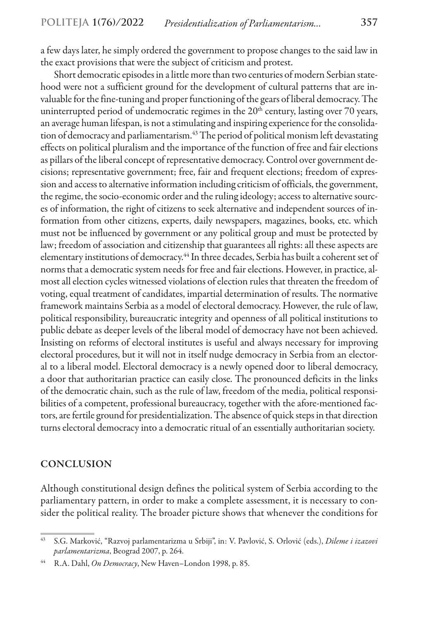a few days later, he simply ordered the government to propose changes to the said law in the exact provisions that were the subject of criticism and protest.

Short democratic episodes in a little more than two centuries of modern Serbian statehood were not a sufficient ground for the development of cultural patterns that are invaluable for the fine-tuning and proper functioning of the gears of liberal democracy. The uninterrupted period of undemocratic regimes in the  $20<sup>th</sup>$  century, lasting over 70 years, an average human lifespan, is not a stimulating and inspiring experience for the consolidation of democracy and parliamentarism.<sup>43</sup> The period of political monism left devastating effects on political pluralism and the importance of the function of free and fair elections as pillars of the liberal concept of representative democracy. Control over government decisions; representative government; free, fair and frequent elections; freedom of expression and access to alternative information including criticism of officials, the government, the regime, the socio-economic order and the ruling ideology; access to alternative sources of information, the right of citizens to seek alternative and independent sources of information from other citizens, experts, daily newspapers, magazines, books, etc. which must not be influenced by government or any political group and must be protected by law; freedom of association and citizenship that guarantees all rights: all these aspects are elementary institutions of democracy.44 In three decades, Serbia has built a coherent set of norms that a democratic system needs for free and fair elections. However, in practice, almost all election cycles witnessed violations of election rules that threaten the freedom of voting, equal treatment of candidates, impartial determination of results. The normative framework maintains Serbia as a model of electoral democracy. However, the rule of law, political responsibility, bureaucratic integrity and openness of all political institutions to public debate as deeper levels of the liberal model of democracy have not been achieved. Insisting on reforms of electoral institutes is useful and always necessary for improving electoral procedures, but it will not in itself nudge democracy in Serbia from an electoral to a liberal model. Electoral democracy is a newly opened door to liberal democracy, a door that authoritarian practice can easily close. The pronounced deficits in the links of the democratic chain, such as the rule of law, freedom of the media, political responsibilities of a competent, professional bureaucracy, together with the afore-mentioned factors, are fertile ground for presidentialization. The absence of quick steps in that direction turns electoral democracy into a democratic ritual of an essentially authoritarian society.

### **CONCLUSION**

Although constitutional design defines the political system of Serbia according to the parliamentary pattern, in order to make a complete assessment, it is necessary to consider the political reality. The broader picture shows that whenever the conditions for

<sup>43</sup> S.G. Marković, "Razvoj parlamentarizma u Srbiji", in: V. Pavlović, S. Orlović (eds.), *Dileme i izazovi parlamentarizma*, Beograd 2007, p. 264.

<sup>44</sup> R.A. Dahl, *On Democracy*, New Haven–London 1998, p. 85.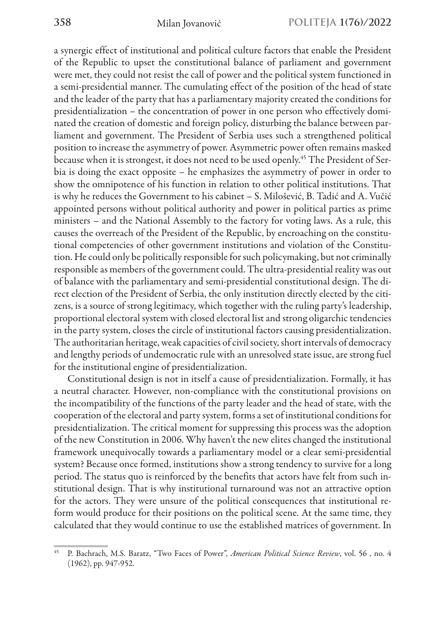a synergic effect of institutional and political culture factors that enable the President of the Republic to upset the constitutional balance of parliament and government were met, they could not resist the call of power and the political system functioned in a semi-presidential manner. The cumulating effect of the position of the head of state and the leader of the party that has a parliamentary majority created the conditions for presidentialization – the concentration of power in one person who effectively dominated the creation of domestic and foreign policy, disturbing the balance between parliament and government. The President of Serbia uses such a strengthened political position to increase the asymmetry of power. Asymmetric power often remains masked because when it is strongest, it does not need to be used openly.<sup>45</sup> The President of Serbia is doing the exact opposite – he emphasizes the asymmetry of power in order to show the omnipotence of his function in relation to other political institutions. That is why he reduces the Government to his cabinet – S. Milošević, B. Tadić and A. Vučić appointed persons without political authority and power in political parties as prime ministers – and the National Assembly to the factory for voting laws. As a rule, this causes the overreach of the President of the Republic, by encroaching on the constitutional competencies of other government institutions and violation of the Constitution. He could only be politically responsible for such policymaking, but not criminally responsible as members of the government could. The ultra-presidential reality was out of balance with the parliamentary and semi-presidential constitutional design. The direct election of the President of Serbia, the only institution directly elected by the citizens, is a source of strong legitimacy, which together with the ruling party's leadership, proportional electoral system with closed electoral list and strong oligarchic tendencies in the party system, closes the circle of institutional factors causing presidentialization. The authoritarian heritage, weak capacities of civil society, short intervals of democracy and lengthy periods of undemocratic rule with an unresolved state issue, are strong fuel for the institutional engine of presidentialization.

Constitutional design is not in itself a cause of presidentialization. Formally, it has a neutral character. However, non-compliance with the constitutional provisions on the incompatibility of the functions of the party leader and the head of state, with the cooperation of the electoral and party system, forms a set of institutional conditions for presidentialization. The critical moment for suppressing this process was the adoption of the new Constitution in 2006. Why haven't the new elites changed the institutional framework unequivocally towards a parliamentary model or a clear semi-presidential system? Because once formed, institutions show a strong tendency to survive for a long period. The status quo is reinforced by the benefits that actors have felt from such institutional design. That is why institutional turnaround was not an attractive option for the actors. They were unsure of the political consequences that institutional reform would produce for their positions on the political scene. At the same time, they calculated that they would continue to use the established matrices of government. In

<sup>45</sup> P. Bachrach, M.S. Baratz, "Two Faces of Power", *American Political Science Review*, vol. 56 , no. 4 (1962), pp. 947-952.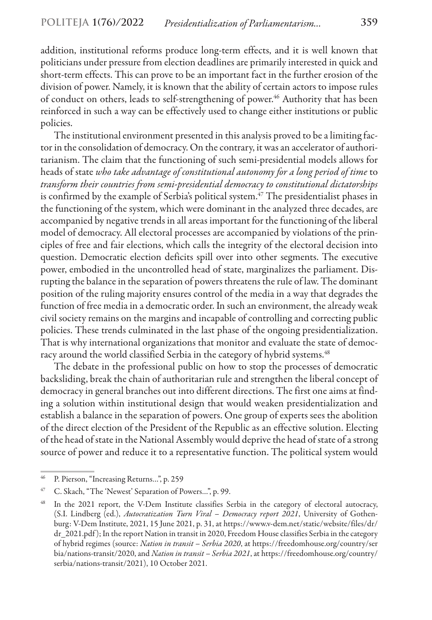addition, institutional reforms produce long-term effects, and it is well known that politicians under pressure from election deadlines are primarily interested in quick and short-term effects. This can prove to be an important fact in the further erosion of the division of power. Namely, it is known that the ability of certain actors to impose rules of conduct on others, leads to self-strengthening of power.<sup>46</sup> Authority that has been reinforced in such a way can be effectively used to change either institutions or public policies.

The institutional environment presented in this analysis proved to be a limiting factor in the consolidation of democracy. On the contrary, it was an accelerator of authoritarianism. The claim that the functioning of such semi-presidential models allows for heads of state *who take advantage of constitutional autonomy for a long period of time* to *transform their countries from semi-presidential democracy to constitutional dictatorships* is confirmed by the example of Serbia's political system.<sup>47</sup> The presidentialist phases in the functioning of the system, which were dominant in the analyzed three decades, are accompanied by negative trends in all areas important for the functioning of the liberal model of democracy. All electoral processes are accompanied by violations of the principles of free and fair elections, which calls the integrity of the electoral decision into question. Democratic election deficits spill over into other segments. The executive power, embodied in the uncontrolled head of state, marginalizes the parliament. Disrupting the balance in the separation of powers threatens the rule of law. The dominant position of the ruling majority ensures control of the media in a way that degrades the function of free media in a democratic order. In such an environment, the already weak civil society remains on the margins and incapable of controlling and correcting public policies. These trends culminated in the last phase of the ongoing presidentialization. That is why international organizations that monitor and evaluate the state of democracy around the world classified Serbia in the category of hybrid systems.<sup>48</sup>

The debate in the professional public on how to stop the processes of democratic backsliding, break the chain of authoritarian rule and strengthen the liberal concept of democracy in general branches out into different directions. The first one aims at finding a solution within institutional design that would weaken presidentialization and establish a balance in the separation of powers. One group of experts sees the abolition of the direct election of the President of the Republic as an effective solution. Electing of the head of state in the National Assembly would deprive the head of state of a strong source of power and reduce it to a representative function. The political system would

<sup>46</sup> P. Pierson, "Increasing Returns…", p. 259

<sup>47</sup> C. Skach, "The 'Newest' Separation of Powers…", p. 99.

<sup>&</sup>lt;sup>48</sup> In the 2021 report, the V-Dem Institute classifies Serbia in the category of electoral autocracy, (S.I. Lindberg (ed.), *Autocratization Turn Viral – Democracy report 2021*, University of Gothenburg: V-Dem Institute, 2021, 15 June 2021, p. 31, at https://www.v-dem.net/static/website/files/dr/ dr\_2021.pdf ); In the report Nation in transit in 2020, Freedom House classifies Serbia in the category of hybrid regimes (source: *Nation in transit – Serbia 2020*, at https://freedomhouse.org/country/ser bia/nations-transit/2020, and *Nation in transit – Serbia 2021*, at https://freedomhouse.org/country/ serbia/nations-transit/2021), 10 October 2021.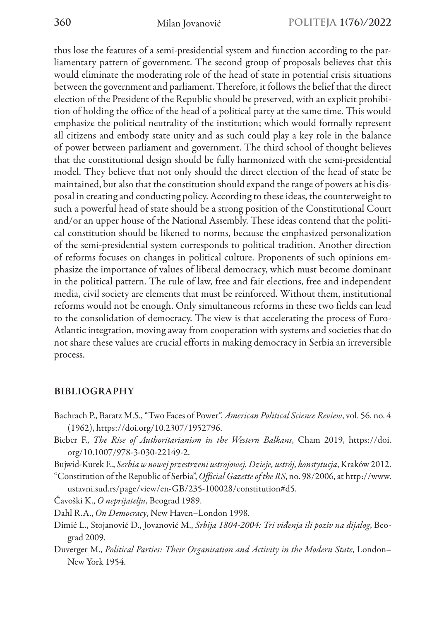thus lose the features of a semi-presidential system and function according to the parliamentary pattern of government. The second group of proposals believes that this would eliminate the moderating role of the head of state in potential crisis situations between the government and parliament. Therefore, it follows the belief that the direct election of the President of the Republic should be preserved, with an explicit prohibition of holding the office of the head of a political party at the same time. This would emphasize the political neutrality of the institution; which would formally represent all citizens and embody state unity and as such could play a key role in the balance of power between parliament and government. The third school of thought believes that the constitutional design should be fully harmonized with the semi-presidential model. They believe that not only should the direct election of the head of state be maintained, but also that the constitution should expand the range of powers at his disposal in creating and conducting policy. According to these ideas, the counterweight to such a powerful head of state should be a strong position of the Constitutional Court and/or an upper house of the National Assembly. These ideas contend that the political constitution should be likened to norms, because the emphasized personalization of the semi-presidential system corresponds to political tradition. Another direction of reforms focuses on changes in political culture. Proponents of such opinions emphasize the importance of values of liberal democracy, which must become dominant in the political pattern. The rule of law, free and fair elections, free and independent media, civil society are elements that must be reinforced. Without them, institutional reforms would not be enough. Only simultaneous reforms in these two fields can lead to the consolidation of democracy. The view is that accelerating the process of Euro-Atlantic integration, moving away from cooperation with systems and societies that do not share these values are crucial efforts in making democracy in Serbia an irreversible process.

### BIBLIOGRAPHY

- Bachrach P., Baratz M.S., "Two Faces of Power", *American Political Science Review*, vol. 56, no. 4 (1962), https://doi.org/10.2307/1952796.
- Bieber F., *The Rise of Authoritarianism in the Western Balkans*, Cham 2019, https://doi. org/10.1007/978-3-030-22149-2.
- Bujwid-Kurek E., *Serbia w nowej przestrzeni ustrojowej. Dzieje, ustrój, konstytucja*, Kraków 2012.
- "Constitution of the Republic of Serbia", *Official Gazette of the RS*, no. 98/2006, at http://www. ustavni.sud.rs/page/view/en-GB/235-100028/constitution#d5.
- Čavoški K., *O neprijatelju*, Beograd 1989.
- Dahl R.A., *On Democracy*, New Haven–London 1998.
- Dimić L., Stojanović D., Jovanović M., *Srbija 1804-2004: Tri viđenja ili poziv na dijalog*, Beograd 2009.
- Duverger M., *Political Parties: Their Organisation and Activity in the Modern State*, London– New York 1954.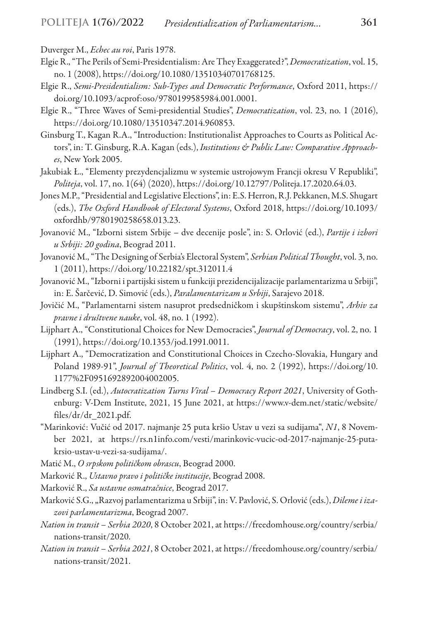- Duverger M., *Echec au roi*, Paris 1978.
- Elgie R., "The Perils of Semi-Presidentialism: Are They Exaggerated?", *Democratization*, vol. 15, no. 1 (2008), https://doi.org/10.1080/13510340701768125.
- Elgie R., *Semi-Presidentialism: Sub-Types and Democratic Performance*, Oxford 2011, https:// doi.org/10.1093/acprof:oso/9780199585984.001.0001.
- Elgie R., "Three Waves of Semi-presidential Studies", *Democratization*, vol. 23, no. 1 (2016), https://doi.org/10.1080/13510347.2014.960853.
- Ginsburg T., Kagan R.A., "Introduction: Institutionalist Approaches to Courts as Political Actors", in: T. Ginsburg, R.A. Kagan (eds.), *Institutions & Public Law: Comparative Approaches*, New York 2005.
- Jakubiak Ł., "Elementy prezydencjalizmu w systemie ustrojowym Francji okresu V Republiki", *Politeja*, vol. 17, no. 1(64) (2020), https://doi.org/10.12797/Politeja.17.2020.64.03.
- Jones M.P., "Presidential and Legislative Elections", in: E.S. Herron, R.J. Pekkanen, M.S. Shugart (eds.), *The Oxford Handbook of Electoral Systems*, Oxford 2018, https://doi.org/10.1093/ oxfordhb/9780190258658.013.23.
- Jovanović M., "Izborni sistem Srbije dve decenije posle", in: S. Orlović (ed.), *Partije i izbori u Srbiji: 20 godina*, Beograd 2011.
- Jovanović M., "The Designing of Serbia's Electoral System", *Serbian Political Thought*, vol. 3, no. 1 (2011), https://doi.org/10.22182/spt.312011.4
- Jovanović M., "Izborni i partijski sistem u funkciji prezidencijalizacije parlamentarizma u Srbiji", in: E. Šarčević, D. Simović (eds.), *Paralamentarizam u Srbiji*, Sarajevo 2018.
- Jovičić M., "Parlamentarni sistem nasuprot predsedničkom i skupštinskom sistemu", *Arhiv za pravne i društvene nauke*, vol. 48, no. 1 (1992).
- Lijphart A., "Constitutional Choices for New Democracies", *Journal of Democracy*, vol. 2, no. 1 (1991), https://doi.org/10.1353/jod.1991.0011.
- Lijphart A., "Democratization and Constitutional Choices in Czecho-Slovakia, Hungary and Poland 1989-91", *Journal of Theoretical Politics*, vol. 4, no. 2 (1992), https://doi.org/10. 1177%2F0951692892004002005.
- Lindberg S.I. (ed.), *Autocratization Turns Viral Democracy Report 2021*, University of Gothenburg: V-Dem Institute, 2021, 15 June 2021, at https://www.v-dem.net/static/website/ files/dr/dr\_2021.pdf.
- "Marinković: Vučić od 2017. najmanje 25 puta kršio Ustav u vezi sa sudijama", *N1*, 8 November 2021, at https://rs.n1info.com/vesti/marinkovic-vucic-od-2017-najmanje-25-putakrsio-ustav-u-vezi-sa-sudijama/.

Matić M., *O srpskom političkom obrascu*, Beograd 2000.

Marković R., *Ustavno pravo i političke institucije*, Beograd 2008.

Marković R., *Sa ustavne osmatračnice*, Beograd 2017.

- Marković S.G.,"Razvoj parlamentarizma u Srbiji", in: V. Pavlović, S. Orlović(eds.), *Dileme i izazovi parlamentarizma*, Beograd 2007.
- *Nation in transit Serbia 2020*, 8 October 2021, at https://freedomhouse.org/country/serbia/ nations-transit/2020.
- *Nation in transit Serbia 2021*, 8 October 2021, at https://freedomhouse.org/country/serbia/ nations-transit/2021.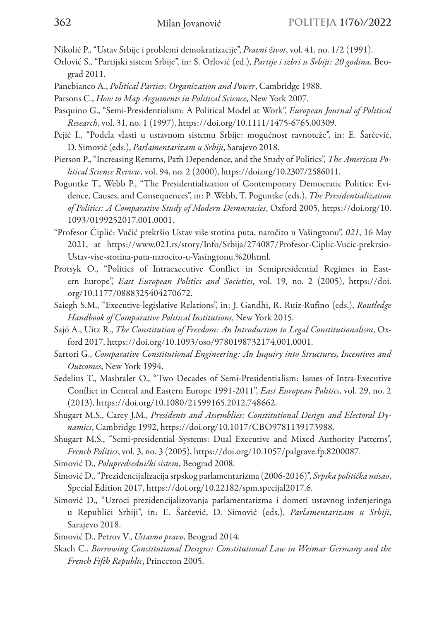Nikolić P., "Ustav Srbije i problemi demokratizacije", *Pravni život*, vol. 41, no. 1/2 (1991).

- Orlović S., "Partijski sistem Srbije", in: S. Orlović (ed.), *Partije i izbri u Srbiji: 20 godina*, Beograd 2011.
- Panebianco A., *Political Parties: Organization and Power*, Cambridge 1988.
- Parsons C., *How to Map Arguments in Political Science*, New York 2007.
- Pasquino G., "Semi-Presidentialism: A Political Model at Work", *European Journal of Political Research*, vol. 31, no. 1 (1997), https://doi.org/10.1111/1475-6765.00309.
- Pejić I., "Podela vlasti u ustavnom sistemu Srbije: mogućnost ravnoteže", in: E. Šarčević, D. Simović (eds.), *Parlamentarizam u Srbiji*, Sarajevo 2018.
- Pierson P., "Increasing Returns, Path Dependence, and the Study of Politics", *The American Political Science Review*, vol. 94, no. 2 (2000), https://doi.org/10.2307/2586011.
- Poguntke T., Webb P., "The Presidentialization of Contemporary Democratic Politics: Evidence, Causes, and Consequences", in: P. Webb, T. Poguntke (eds.), *The Presidentialization of Politics: A Comparative Study of Modern Democracies*, Oxford 2005, https://doi.org/10. 1093/0199252017.001.0001.
- "Profesor Čiplić: Vučić prekršio Ustav više stotina puta, naročito u Vašingtonu", *021*, 16 May 2021, at https://www.021.rs/story/Info/Srbija/274087/Profesor-Ciplic-Vucic-prekrsio-Ustav-vise-stotina-puta-narocito-u-Vasingtonu.%20html.
- Protsyk O., "Politics of Intraexecutive Conflict in Semipresidential Regimes in Eastern Europe", *East European Politics and Societies*, vol. 19, no. 2 (2005), https://doi. org/10.1177/0888325404270672.
- Saiegh S.M., "Executive-legislative Relations", in: J. Gandhi, R. Ruiz-Rufino (eds.), *Routledge Handbook of Comparative Political Institutions*, New York 2015.
- Sajó A., Uitz R., *The Constitution of Freedom: An Introduction to Legal Constitutionalism*, Oxford 2017, https://doi.org/10.1093/oso/9780198732174.001.0001.
- Sartori G., *Comparative Constitutional Engineering: An Inquiry into Structures, Incentives and Outcomes*, New York 1994.
- Sedelius T., Mashtaler O., "Two Decades of Semi-Presidentialism: Issues of Intra-Executive Conflict in Central and Eastern Europe 1991-2011", *East European Politics*, vol. 29, no. 2 (2013), https://doi.org/10.1080/21599165.2012.748662.
- Shugart M.S., Carey J.M., *Presidents and Assemblies: Constitutional Design and Electoral Dynamics*, Cambridge 1992, https://doi.org/10.1017/CBO9781139173988.
- Shugart M.S., "Semi-presidential Systems: Dual Executive and Mixed Authority Patterns", *French Politics*, vol. 3, no. 3 (2005), https://doi.org/10.1057/palgrave.fp.8200087.
- Simović D., *Polupredsednički sistem*, Beograd 2008.
- Simović D., "Prezidencijalizacija srpskog parlamentarizma (2006-2016)", *Srpska politička misao*, Special Edition 2017, https://doi.org/10.22182/spm.specijal2017.6.
- Simović D., "Uzroci prezidencijalizovanja parlamentarizma i dometi ustavnog inženjeringa u Republici Srbiji", in: E. Šarčević, D. Simović (eds.), *Parlamentarizam u Srbiji*, Sarajevo 2018.
- Simović D., Petrov V., *Ustavno pravo*, Beograd 2014.
- Skach C., *Borrowing Constitutional Designs: Constitutional Law in Weimar Germany and the French Fifth Republic*, Princeton 2005.